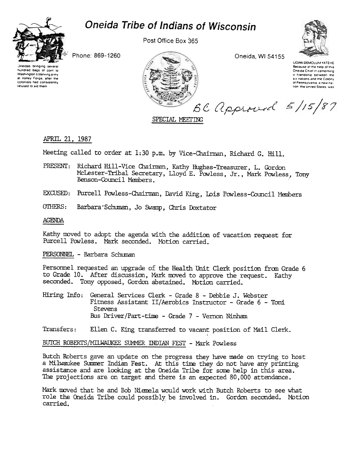# Oneida Tribe of Indians of Wisconsin



Post Office Box 365

Oneida, WI 54155



UGWA DEMOLUM YATEHE Because of the help of this Oneida Chief in cementing a friendship between the six nations and the Colony of Pennsylvania, a new nation, the United States, was

Phone: 869-1260





# APRIL 21, 1987

Meeting called to order at 1:30 p.m. by Vice-Chairman, Richard G. Hill.

PRESENT: Richard Hill-Vice Chairman, Kathy Hughes-Treasurer, L. Gordon McLester-Tribal Secretary, Lloyd E. Powless, Jr., Mark Powless, Tony Benson-Council Members.

SPECIAL MEETING

- EXCUSED: Purcell Powless-Chairman, David King, Lois Powless-Council Members
- OTHERS: Barbara Schuman, Jo Swamp, Chris Doxtator

#### **AGENDA**

Kathy moved to adopt the agenda with the addition of vacation request for Purcell Powless. Mark seconded. Motion carried.

## PERSONNEL - Barbara Schuman

Personnel requested an upgrade of the Health Unit Clerk position from Grade 6 to Grade 10. After discussion, Mark moved to approve the request. Kathy seconded. Tony opposed, Gordon abstained. Motion carried.

Hiring Info: General Services Clerk - Grade 8 - Debbie J. Webster Fitness Assistant II/Aerobics Instructor - Grade 6 - Toni **Stevens** Bus Driver/Part-time - Grade 7 - Vernon Ninham

Transfers: Ellen C. King transferred to vacant position of Mail Clerk.

BUTCH ROBERTS/MILWAUKEE SUMMER INDIAN FEST - Mark Powless

Butch Roberts gave an update on the progress they have made on trying to host a Milwaukee Summer Indian Fest. At this time they do not have any printing assistance and are looking at the Oneida Tribe for some help in this area. The projections are on target and there is an expected 80,000 attendance.

Mark moved that he and Bob Niemela would work with Butch Roberts to see what role the Oneida Tribe could possibly be involved in. Gordon seconded. Motion carried.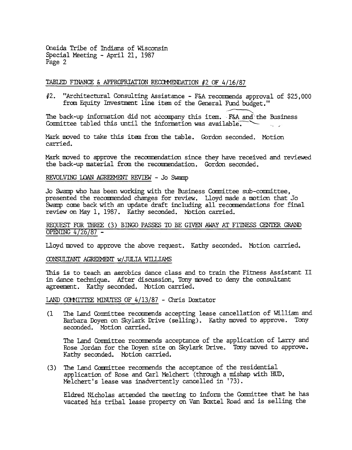Oneida Tribe of Indians of Wisconsin Special Meeting - April 21, 1987 Page 2

## TABLED FINANCE & APPROPRIATION RECOMMENDATION  $#2$  OF  $4/16/87$

#2. "ArChitectural Consulting Assistance -F&A recommends approval of \$25,000 from Equity Investment line item of the General Fund budget."

"- The back-up information did not accompany this item. F&A and the Busines Committee tabled this until the information was available.

Mark moved to take this item from the table. Gordon seconded. Motion carried.

Mark moved to approve the recommendation since they have received and reviewed the back-up material from the recommendation. Gordon seconded.

# REVOLVING LOAN AGREEMENT REVIEW - Jo Swamp

Jo Swamp who has been working with the Business Committee sub-committee, presented the recommended changes for review. Lloyd made a motion that Jo Swamp cane back with an update draft including all recarmendations for final review on May 1, 1987. Kathy seconded. Motion carried.

REQUEST FOR THREE (3) BINGO PASSES TO BE GIVEN AWAY AT FITNESS CENTER GRAND OPENING  $4/26/87$  -

Lloyd moved to approve the above request. Kathy seconded. Motion carried.

#### CONSULTANT AGREEMENT W/ JULIA WILLIAMS

This is to teach an aerobics dance class and to train the Fitness Assistant II in dance technique. After discussion, Tony mved to deny the consultant agreement. Kathy seconded. Motion carried.

LAND COMMITTEE MINUTES OF 4/13/87 - Chris Doxtator

The Land Conmittee recamends accepting lease cancellation of William and Barbara Doyen on Skylark Drive (selling). Kathy moved to approve. Tony seconded. Motion carried.  $(1)$ 

The Land Committee recommends acceptance of the application of Larry and Rose Jordan for the Doyen site on Skylark Drive. Tony moved to approve. Kathy seconded. Motion carried.

The Land Committee recommends the acceptance of the residential application of Rose and Carl Melchert (through a mishap with HUD, Melchert's lease was inadvertently cancelled in '73). (3)

Eldred Nicholas attended the meeting to inform the Committee that he has vacated his tribal lease property on Van Baxtel Road and is selling the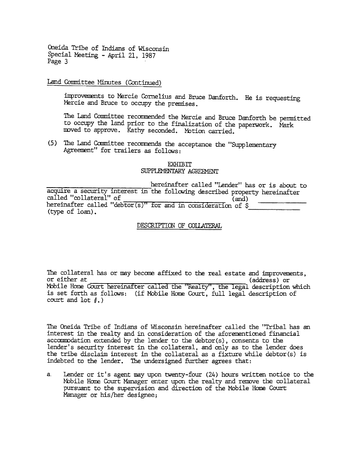Oneida Tribe of Indians of Wisconsin Special Meeting - April 21, 1987 Page 3

Land Committee Minutes (Continue

improvements to Mercie Cornelius and Bruce Danforth. He is requesti Mercie and Bruce to occupy the premises.

The Land Committee recommended the Mercie and Bruce Danforth be permitted to occupy the land prior to the finalization of the paperwork. Nark moved to approve. Kathy seconded. Motion carried.

(5) The Land Committee recommends the acceptance the "Supplementary Agreement" for trailers as follows:

#### EXHIBIT SUPPLEMENTARY AGREEMENT

hereinafter called "Lender" has or is about to acquire a security interest in the following described property hereinafter called "collateral" of (and) called "collateral" of (and)<br>hereinafter called "debtor(s)" for and in consideration of \$ (type of loan).

DESCRIPTION OF COLLATERAL

The collateral has or may become affixed to the real estate and improvements, or either at (address) or Mobile Home Court hereinafter called the "Realty", the legal description which is set forth as follows: (if Mobile Home Court, full legal description of court and lot  $\ell$ .)

The Oneida Tribe of Indians of Wisconsin hereinafter called the "Tribal has an interest in the realty and in consideration of the aforementioned financial acccmrodation extended by the lender to the debtor(s) , consents to the lender's security interest in the collateral, and only as to the lender does the tribe disclaim interest in the collateral as a fixture While debtor(s) is indebted to the lender. The undersigned further agrees that:

Lender or it's agent may upon twenty-four  $(24)$  hours written notice to the. Mobile Home Court Manager enter upon the realty and remove the collateral pursuant to the supervision and direction of the Mobile Home Court Manager or his/her designee; a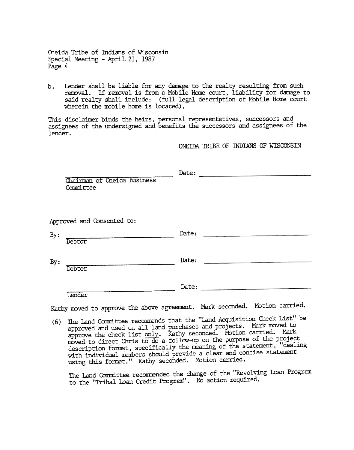Oneida Tribe of Indians of Wisconsin Special Meeting - April. 21, 1987 Page 4

 $b.$ Lender shall be liable for any damage to the realty resulting from such removal. If removal is from a MObile Home court. liability for damage to said realty shall include: (full legal description of Mobile Home court wherein the mobile home is located).

This disclaimer binds the heirs, personal representatives, successors and assignees of the undersigned and benefits the successors and assignees of the lender.

ONEIDA TRIBE OF INDIANS OF WISCONSIN

|                            | Chairman of Oneida Business<br>Committee                                   | Date: |                                              |  |
|----------------------------|----------------------------------------------------------------------------|-------|----------------------------------------------|--|
| Approved and Consented to: |                                                                            |       |                                              |  |
| By:                        | Debtor                                                                     | Date: |                                              |  |
| By:                        | Debtor                                                                     | Date: | the control of the control of the control of |  |
|                            | Lender                                                                     | Date: |                                              |  |
|                            | Kathy moved to approve the above agreement. Mark seconded. Motion carried. |       |                                              |  |

(6) The Land Committee recommends that the "Land Acquisition Check List" be approved and used on all land purchases and projects. Mark moved to approved and used on air rund parameter and for your carried. Mark approve the check rise only. Then, when on the purpose of the project description format, specifically the meaning of the statement, "dealing with individual members should provide a clear and concise statement using this format." Kathy seconded. Motion carried.

The Land Committee recommended the change of the "Revolving Loan Program to the "Tribal Loan Credit Program". No action required.